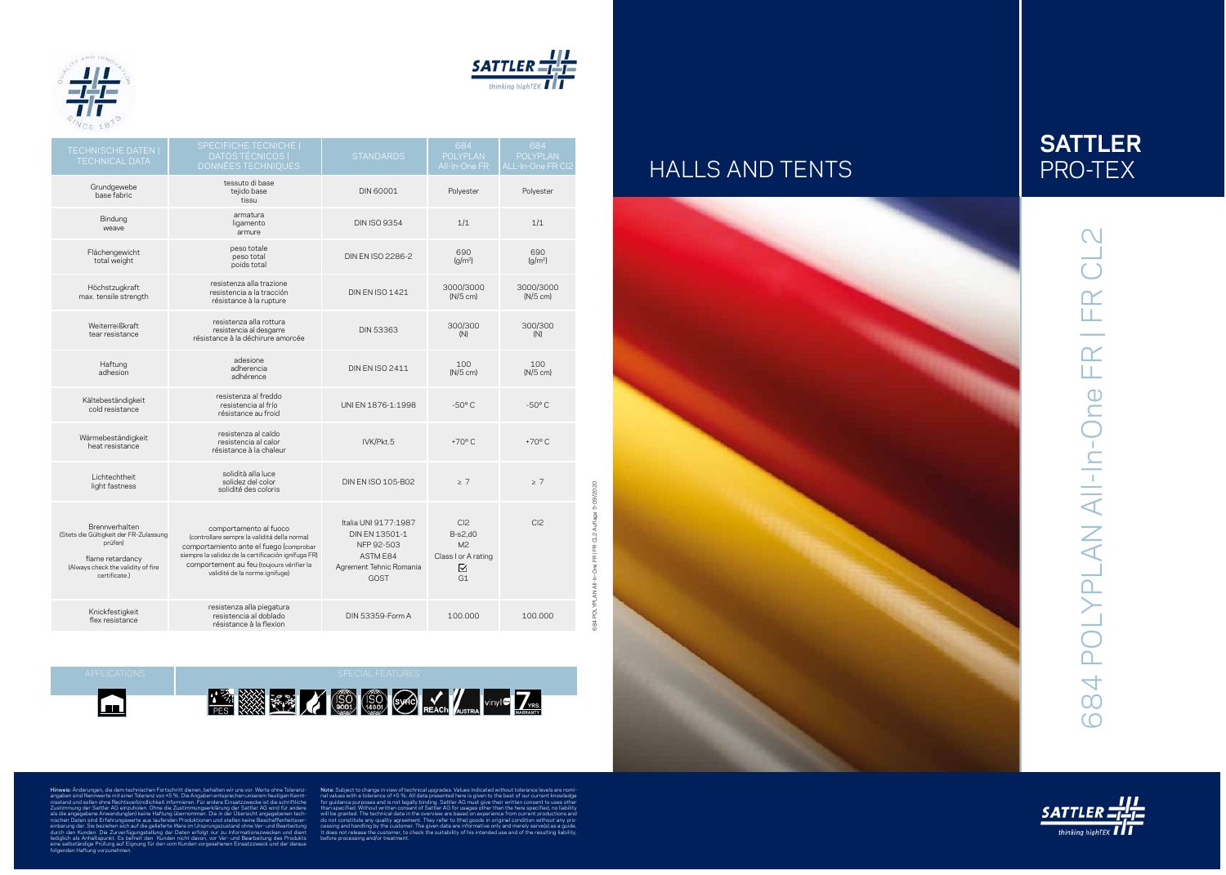



684 POLYPLAN All-In-One FR | FR CL2 Auflage 5-09/2020

Hinweis: Änderungen, die dem technischen Fortschritt dienen, behalten wir uns vor. Werte ohne Toleranz angaben sind Nennwerte mit einer Toleranz von ±5 %. Die Angaben entsprechen unserem heutigen Kennt nisstand und sollen ohne Rechtsverbindlichkeit informieren. Für andere Einsatzzwecke ist die schriftliche Zustimmung der Sattler AG einzuholen. Ohne die Zustimmungserklärung der Sattler AG wird für andere als die angegebene Anwendung(en) keine Haftung übernommen. Die in der Übersicht angegebenen tech nischen Daten sind Erfahrungswerte aus laufenden Produktionen und stellen keine Beschaffenheitsver einbarung dar. Sie beziehen sich auf die gelieferte Ware im Ursprungszustand ohne Ver- und Bearbeitung durch den Kunden. Die Zurverfügungstellung der Daten erfolgt nur zu Informationszwecken und dient lediglich als Anhaltspunkt. Es befreit den Kunden nicht davon, vor Ver- und Bearbeitung des Produkts eine selbständige Prüfung auf Eignung für den vom Kunden vorgesehenen Einsatzzweck und der daraus folgenden Haftung vorzunehmen.

Note: Subject to change in view of technical upgrades. Values indicated without tolerance levels are nomi nal values with a tolerance of ±5 %. All data presented here is given to the best of our current knowledge for guidance purposes and is not legally binding. Sattler AG must give their written consent to uses other than specified. Without written consent of Sattler AG for usages other than the here specified, no liability will be granted. The technical data in the overview are based on experience from current productions and do not constitute any quality agreement. They refer to (the) goods in original condition without any pro cessing and handling by the customer. The given data are informative only and merely serve(s) as a guide. It does not release the customer, to check the suitability of his intended use and of the resulting liability, before processing and/or treatment.





# CL<sub>2</sub> 684 POLYPLAN All-In-One FR | FR CL2 684 POLYPLAN All-In-One FR | FR



| 19年 決定                                                                                                                                         |                                                                                                                                                                                                                                                         |                                                                                                                   |                                                                                  |                                             |
|------------------------------------------------------------------------------------------------------------------------------------------------|---------------------------------------------------------------------------------------------------------------------------------------------------------------------------------------------------------------------------------------------------------|-------------------------------------------------------------------------------------------------------------------|----------------------------------------------------------------------------------|---------------------------------------------|
| <b>TECHNISCHE DATEN  </b><br><b>TECHNICAL DATA</b>                                                                                             | <b>SPECIFICHE TECNICHE  </b><br><b>DATOS TÉCNICOS  </b><br><b>DONNÉES TECHNIQUES</b>                                                                                                                                                                    | <b>STANDARDS</b>                                                                                                  | 684<br><b>POLYPLAN</b><br>All-In-One FR                                          | 684<br><b>POLYPLAN</b><br>ALL-In-One FR CI2 |
| Grundgewebe<br>base fabric                                                                                                                     | tessuto di base<br>tejido base<br>tissu                                                                                                                                                                                                                 | <b>DIN 60001</b>                                                                                                  | Polyester                                                                        | Polyester                                   |
| Bindung<br>weave                                                                                                                               | armatura<br>ligamento<br>armure                                                                                                                                                                                                                         | <b>DIN ISO 9354</b>                                                                                               | 1/1                                                                              | 1/1                                         |
| Flächengewicht<br>total weight                                                                                                                 | peso totale<br>peso total<br>poids total                                                                                                                                                                                                                | DIN EN ISO 2286-2                                                                                                 | 690<br>(a/m <sup>2</sup> )                                                       | 690<br>(g/m <sup>2</sup> )                  |
| Höchstzugkraft<br>max. tensile strength                                                                                                        | resistenza alla trazione<br>resistencia a la tracción<br>résistance à la rupture                                                                                                                                                                        | <b>DIN EN ISO 1421</b>                                                                                            | 3000/3000<br>$(N/5$ cm)                                                          | 3000/3000<br>$(N/5$ cm)                     |
| Weiterreißkraft<br>tear resistance                                                                                                             | resistenza alla rottura<br>resistencia al desgarre<br>résistance à la déchirure amorcée                                                                                                                                                                 | <b>DIN 53363</b>                                                                                                  | 300/300<br>(N)                                                                   | 300/300<br>(N)                              |
| Haftung<br>adhesion                                                                                                                            | adesione<br>adherencia<br>adhérence                                                                                                                                                                                                                     | <b>DIN EN ISO 2411</b>                                                                                            | 100<br>$(N/5$ cm)                                                                | 100<br>$(N/5$ cm)                           |
| Kältebeständigkeit<br>cold resistance                                                                                                          | resistenza al freddo<br>resistencia al frío<br>résistance au froid                                                                                                                                                                                      | UNI EN 1876-1:1998                                                                                                | $-50^{\circ}$ C                                                                  | $-50^{\circ}$ C                             |
| Wärmebeständigkeit<br>heat resistance                                                                                                          | resistenza al caldo<br>resistencia al calor<br>résistance à la chaleur                                                                                                                                                                                  | IVK/Pkt.5                                                                                                         | $+70^{\circ}$ C                                                                  | $+70^{\circ}$ C                             |
| Lichtechtheit<br>light fastness                                                                                                                | solidità alla luce<br>solidez del color<br>solidité des coloris                                                                                                                                                                                         | DIN EN ISO 105-B02                                                                                                | $\geq 7$                                                                         | $\geq 7$                                    |
| Brennverhalten<br>(Stets die Gültigkeit der FR-Zulassung<br>prüfen)<br>flame retardancy<br>(Always check the validity of fire<br>certificate.) | comportamento al fuoco<br>(controllare sempre la validitá della norma)<br>comportamiento ante el fuego (comprobar<br>siempre la validez de la certificación ignífuga FR)<br>comportement au feu (toujours vérifier la<br>validité de la norme ignifuge) | Italia UNI 9177:1987<br>DIN EN 13501-1<br>NFP 92-503<br><b>ASTM E84</b><br>Agrement Tehnic Romania<br><b>GOST</b> | Cl <sub>2</sub><br>$B-s2,d0$<br>M <sup>2</sup><br>Class I or A rating<br>⊻<br>G1 | Cl <sub>2</sub>                             |
| Knickfestigkeit<br>flex resistance                                                                                                             | resistenza alla piegatura<br>resistencia al doblado<br>résistance à la flexion                                                                                                                                                                          | <b>DIN 53359-Form A</b>                                                                                           | 100.000                                                                          | 100,000                                     |

# HALLS AND TENTS



 $\blacksquare$